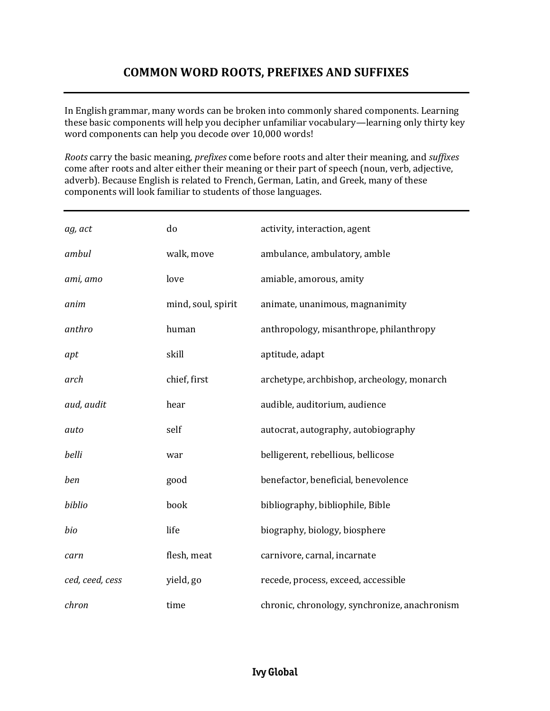### **COMMON WORD ROOTS, PREFIXES AND SUFFIXES**

In English grammar, many words can be broken into commonly shared components. Learning these basic components will help you decipher unfamiliar vocabulary—learning only thirty key word components can help you decode over 10,000 words!

*Roots* carry the basic meaning, *prefixes* come before roots and alter their meaning, and *suffixes* come after roots and alter either their meaning or their part of speech (noun, verb, adjective, adverb). Because English is related to French, German, Latin, and Greek, many of these components will look familiar to students of those languages.

| ag, act         | do                 | activity, interaction, agent                  |
|-----------------|--------------------|-----------------------------------------------|
| ambul           | walk, move         | ambulance, ambulatory, amble                  |
| ami, amo        | love               | amiable, amorous, amity                       |
| anim            | mind, soul, spirit | animate, unanimous, magnanimity               |
| anthro          | human              | anthropology, misanthrope, philanthropy       |
| apt             | skill              | aptitude, adapt                               |
| arch            | chief, first       | archetype, archbishop, archeology, monarch    |
| aud, audit      | hear               | audible, auditorium, audience                 |
| auto            | self               | autocrat, autography, autobiography           |
| belli           | war                | belligerent, rebellious, bellicose            |
| ben             | good               | benefactor, beneficial, benevolence           |
| biblio          | book               | bibliography, bibliophile, Bible              |
| bio             | life               | biography, biology, biosphere                 |
| carn            | flesh, meat        | carnivore, carnal, incarnate                  |
| ced, ceed, cess | yield, go          | recede, process, exceed, accessible           |
| chron           | time               | chronic, chronology, synchronize, anachronism |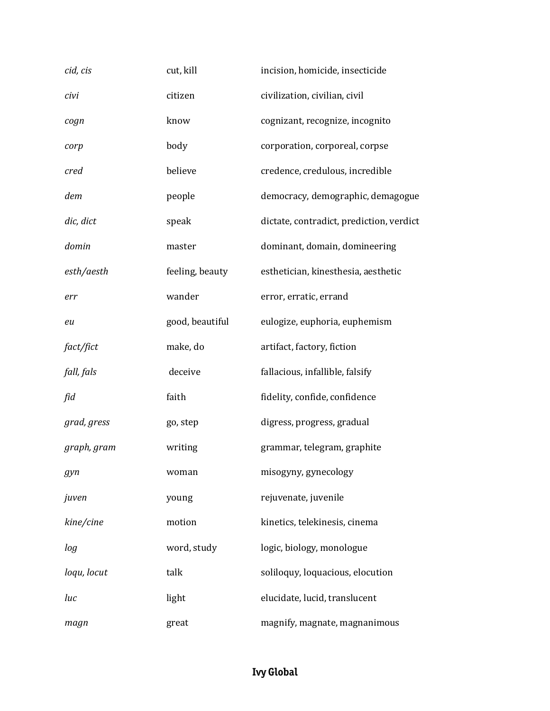| cid, cis    | cut, kill       | incision, homicide, insecticide          |
|-------------|-----------------|------------------------------------------|
| civi        | citizen         | civilization, civilian, civil            |
| cogn        | know            | cognizant, recognize, incognito          |
| corp        | body            | corporation, corporeal, corpse           |
| cred        | believe         | credence, credulous, incredible          |
| dem         | people          | democracy, demographic, demagogue        |
| dic, dict   | speak           | dictate, contradict, prediction, verdict |
| domin       | master          | dominant, domain, domineering            |
| esth/aesth  | feeling, beauty | esthetician, kinesthesia, aesthetic      |
| err         | wander          | error, erratic, errand                   |
| eu          | good, beautiful | eulogize, euphoria, euphemism            |
| fact/fict   | make, do        | artifact, factory, fiction               |
| fall, fals  | deceive         | fallacious, infallible, falsify          |
| fid         | faith           | fidelity, confide, confidence            |
| grad, gress | go, step        | digress, progress, gradual               |
| graph, gram | writing         | grammar, telegram, graphite              |
| gyn         | woman           | misogyny, gynecology                     |
| juven       | young           | rejuvenate, juvenile                     |
| kine/cine   | motion          | kinetics, telekinesis, cinema            |
| log         | word, study     | logic, biology, monologue                |
| loqu, locut | talk            | soliloquy, loquacious, elocution         |
| luc         | light           | elucidate, lucid, translucent            |
| magn        | great           | magnify, magnate, magnanimous            |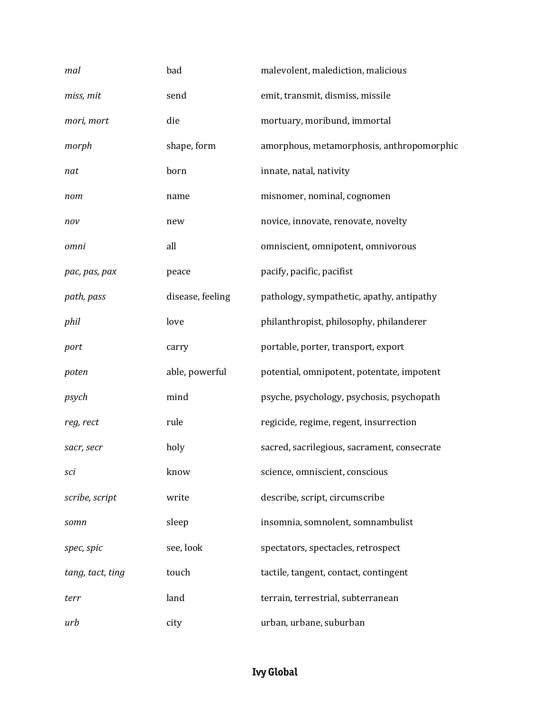| mal              | bad              | malevolent, malediction, malicious          |
|------------------|------------------|---------------------------------------------|
| miss, mit        | send             | emit, transmit, dismiss, missile            |
| mori, mort       | die              | mortuary, moribund, immortal                |
| morph            | shape, form      | amorphous, metamorphosis, anthropomorphic   |
| nat              | born             | innate, natal, nativity                     |
| nom              | name             | misnomer, nominal, cognomen                 |
| nov              | new              | novice, innovate, renovate, novelty         |
| omni             | all              | omniscient, omnipotent, omnivorous          |
| pac, pas, pax    | peace            | pacify, pacific, pacifist                   |
| path, pass       | disease, feeling | pathology, sympathetic, apathy, antipathy   |
| phil             | love             | philanthropist, philosophy, philanderer     |
| port             | carry            | portable, porter, transport, export         |
| poten            | able, powerful   | potential, omnipotent, potentate, impotent  |
| psych            | mind             | psyche, psychology, psychosis, psychopath   |
| reg, rect        | rule             | regicide, regime, regent, insurrection      |
| sacr, secr       | holy             | sacred, sacrilegious, sacrament, consecrate |
| sci              | know             | science, omniscient, conscious              |
| scribe, script   | write            | describe, script, circumscribe              |
| somn             | sleep            | insomnia, somnolent, somnambulist           |
| spec, spic       | see, look        | spectators, spectacles, retrospect          |
| tang, tact, ting | touch            | tactile, tangent, contact, contingent       |
| terr             | land             | terrain, terrestrial, subterranean          |
| urb              | city             | urban, urbane, suburban                     |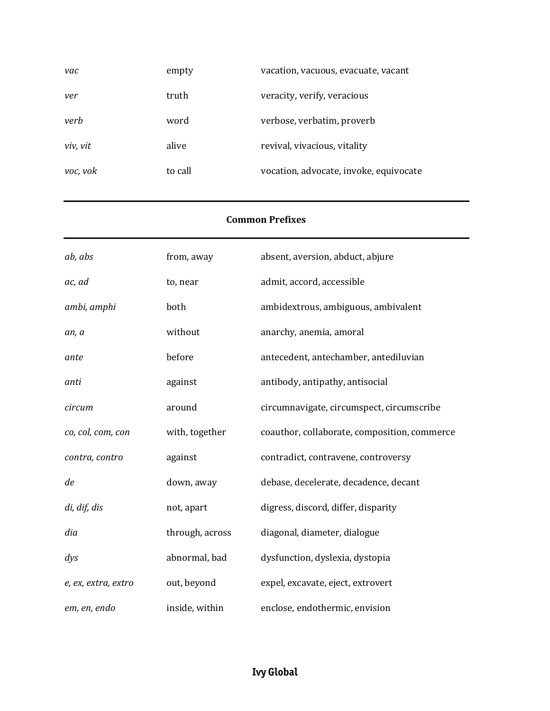| vac      | empty   | vacation, vacuous, evacuate, vacant    |
|----------|---------|----------------------------------------|
| ver      | truth   | veracity, verify, veracious            |
| verb     | word    | verbose, verbatim, proverb             |
| viv, vit | alive   | revival, vivacious, vitality           |
| voc, vok | to call | vocation, advocate, invoke, equivocate |

#### **Common Prefixes**

| ab, abs             | from, away      | absent, aversion, abduct, abjure             |
|---------------------|-----------------|----------------------------------------------|
| ac, ad              | to, near        | admit, accord, accessible                    |
| ambi, amphi         | both            | ambidextrous, ambiguous, ambivalent          |
| an, a               | without         | anarchy, anemia, amoral                      |
| ante                | before          | antecedent, antechamber, antediluvian        |
| anti                | against         | antibody, antipathy, antisocial              |
| circum              | around          | circumnavigate, circumspect, circumscribe    |
| co, col, com, con   | with, together  | coauthor, collaborate, composition, commerce |
| contra, contro      | against         | contradict, contravene, controversy          |
| de                  | down, away      | debase, decelerate, decadence, decant        |
| di, dif, dis        | not, apart      | digress, discord, differ, disparity          |
| dia                 | through, across | diagonal, diameter, dialogue                 |
| $\frac{dyS}{dt}$    | abnormal, bad   | dysfunction, dyslexia, dystopia              |
| e, ex, extra, extro | out, beyond     | expel, excavate, eject, extrovert            |
| em, en, endo        | inside, within  | enclose, endothermic, envision               |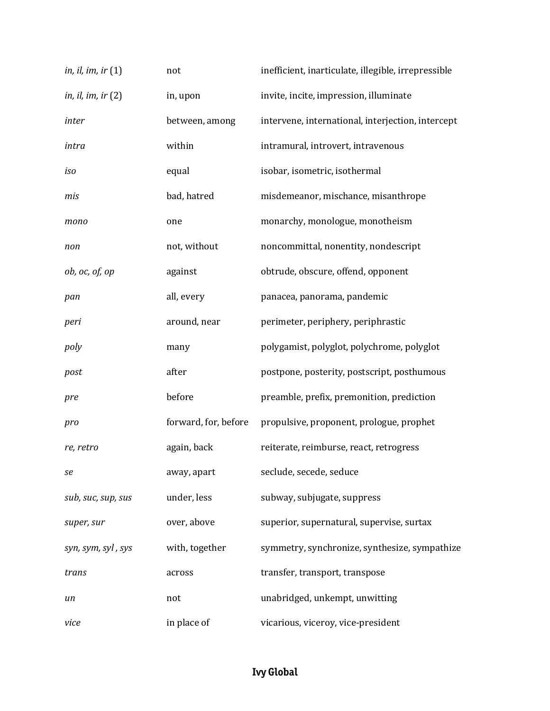| in, il, im, ir $(1)$ | not                  | inefficient, inarticulate, illegible, irrepressible |
|----------------------|----------------------|-----------------------------------------------------|
| in, il, im, ir $(2)$ | in, upon             | invite, incite, impression, illuminate              |
| inter                | between, among       | intervene, international, interjection, intercept   |
| intra                | within               | intramural, introvert, intravenous                  |
| iso                  | equal                | isobar, isometric, isothermal                       |
| mis                  | bad, hatred          | misdemeanor, mischance, misanthrope                 |
| mono                 | one                  | monarchy, monologue, monotheism                     |
| non                  | not, without         | noncommittal, nonentity, nondescript                |
| ob, oc, of, op       | against              | obtrude, obscure, offend, opponent                  |
| pan                  | all, every           | panacea, panorama, pandemic                         |
| peri                 | around, near         | perimeter, periphery, periphrastic                  |
| poly                 | many                 | polygamist, polyglot, polychrome, polyglot          |
| post                 | after                | postpone, posterity, postscript, posthumous         |
| pre                  | before               | preamble, prefix, premonition, prediction           |
| pro                  | forward, for, before | propulsive, proponent, prologue, prophet            |
| re, retro            | again, back          | reiterate, reimburse, react, retrogress             |
| se                   | away, apart          | seclude, secede, seduce                             |
| sub, suc, sup, sus   | under, less          | subway, subjugate, suppress                         |
| super, sur           | over, above          | superior, supernatural, supervise, surtax           |
| syn, sym, syl, sys   | with, together       | symmetry, synchronize, synthesize, sympathize       |
| trans                | across               | transfer, transport, transpose                      |
| un                   | not                  | unabridged, unkempt, unwitting                      |
| vice                 | in place of          | vicarious, viceroy, vice-president                  |